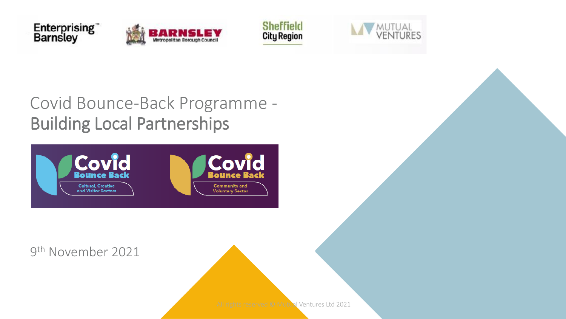







Covid Bounce-Back Programme - Building Local Partnerships



9 th November 2021

All rights reserved © Mutual Ventures Ltd 2021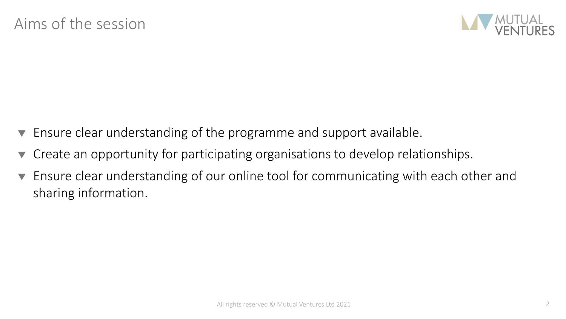

- Ensure clear understanding of the programme and support available.
- Create an opportunity for participating organisations to develop relationships.
- Ensure clear understanding of our online tool for communicating with each other and sharing information.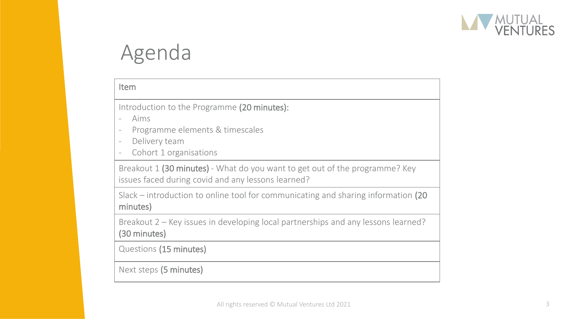

# Agenda

| Item                                                                                                                                                                                                                  |
|-----------------------------------------------------------------------------------------------------------------------------------------------------------------------------------------------------------------------|
| Introduction to the Programme (20 minutes):<br>Aims<br>Programme elements & timescales<br>$\overline{\phantom{a}}$<br>Delivery team<br>$\overline{\phantom{a}}$<br>Cohort 1 organisations<br>$\overline{\phantom{a}}$ |
| Breakout 1 (30 minutes) - What do you want to get out of the programme? Key<br>issues faced during covid and any lessons learned?                                                                                     |
| Slack – introduction to online tool for communicating and sharing information $(20)$<br>minutes)                                                                                                                      |
| Breakout 2 – Key issues in developing local partnerships and any lessons learned?<br>(30 minutes)                                                                                                                     |
| Questions (15 minutes)                                                                                                                                                                                                |
| Next steps (5 minutes)                                                                                                                                                                                                |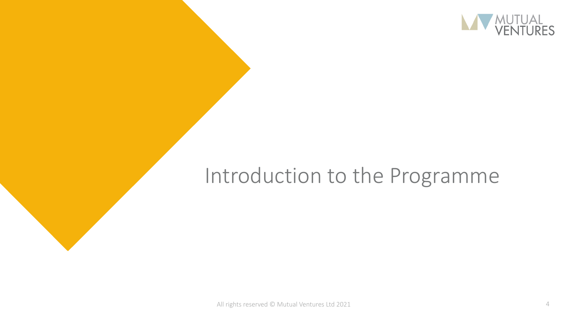

## Introduction to the Programme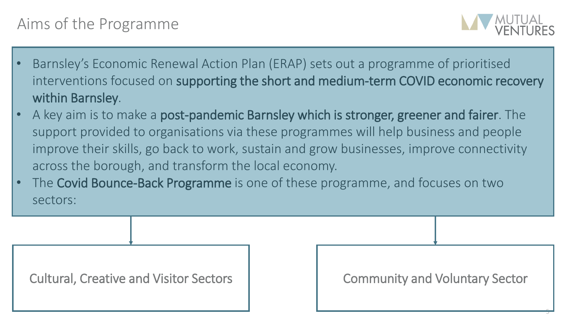#### Aims of the Programme



5

- Barnsley's Economic Renewal Action Plan (ERAP) sets out a programme of prioritised interventions focused on supporting the short and medium-term COVID economic recovery within Barnsley.
- A key aim is to make a post-pandemic Barnsley which is stronger, greener and fairer. The support provided to organisations via these programmes will help business and people improve their skills, go back to work, sustain and grow businesses, improve connectivity across the borough, and transform the local economy.
- The Covid Bounce-Back Programme is one of these programme, and focuses on two sectors:

Cultural, Creative and Visitor Sectors | Community and Voluntary Sector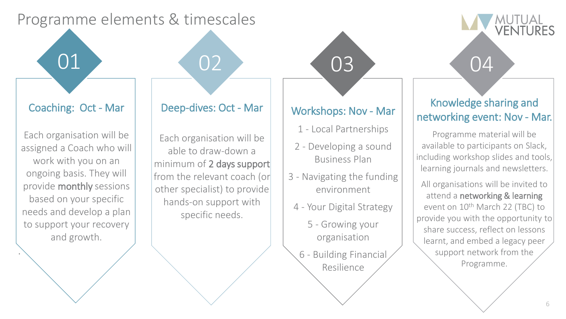#### Programme elements & timescales

Coaching: Oct - Mar

Each organisation will be assigned a Coach who will work with you on an ongoing basis. They will provide monthly sessions based on your specific needs and develop a plan to support your recovery and growth.

.

#### Deep-dives: Oct - Mar

01 02 03 04

Each organisation will be able to draw-down a minimum of 2 days support from the relevant coach (or other specialist) to provide hands-on support with specific needs.

#### Workshops: Nov - Mar

- 1 Local Partnerships
- 2 Developing a sound Business Plan
- 3 Navigating the funding environment
- 4 Your Digital Strategy
	- 5 Growing your organisation
- 6 Building Financial Resilience

#### Knowledge sharing and networking event: Nov - Mar.

MUTUAL<br>VENTURES

Programme material will be available to participants on Slack, including workshop slides and tools, learning journals and newsletters.

All organisations will be invited to attend a networking & learning event on 10<sup>th</sup> March 22 (TBC) to provide you with the opportunity to share success, reflect on lessons learnt, and embed a legacy peer support network from the Programme.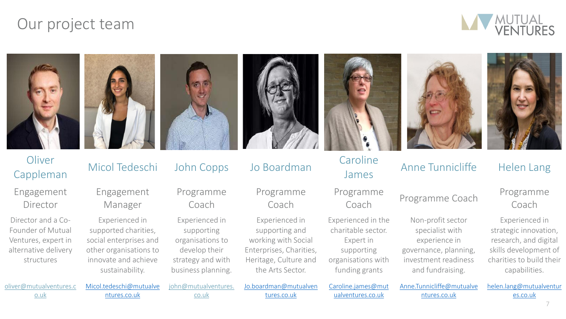#### Our project team











# Oliver Micol Tedeschi John Copps Jo Boardman Caroline<br>Cappleman Micol Tedeschi John Copps Jo Boardman James

Programme

Experienced in the charitable sector. Expert in supporting organisations with funding grants

# Caroline<br>
James Anne Tunnicliffe Helen Lang

Non-profit sector specialist with experience in governance, planning, investment readiness and fundraising.

#### ogramme Programme Coach Programme<br>Coach Coach Coach

Experienced in strategic innovation, research, and digital skills development of charities to build their capabilities.

[oliver@mutualventures.c](mailto:andrew@mutualventures.co.uk) o.uk

Director and a Co-Founder of Mutual Ventures, expert in alternative delivery structures

**Oliver** 

Engagement

Director

Engagement Manager

[Micol.tedeschi@mutualve](mailto:Micol.tedeschi@mutualventures.co.uk) ntures.co.uk

Experienced in supported charities, social enterprises and other organisations to innovate and achieve sustainability.

Programme Coach

Experienced in supporting organisations to develop their strategy and with business planning.

[john@mutualventures.](mailto:agata.miskowiec@mutualventures.co.uk) co.uk

Programme Coach

Experienced in supporting and working with Social Enterprises, Charities, Heritage, Culture and the Arts Sector.

[Caroline.james@mut](mailto:Caroline.james@mutualventures.co.uk) ualventures.co.uk

[Anne.Tunnicliffe@mutualve](mailto:Anne.Tunnicliffe@mutualventures.co.uk) ntures.co.uk

[helen.lang@mutualventur](mailto:helen.lang@mutualventures.co.uk) es.co.uk

tures.co.uk

[Jo.boardman@mutualven](mailto:Jo.boardman@mutualventures.co.uk)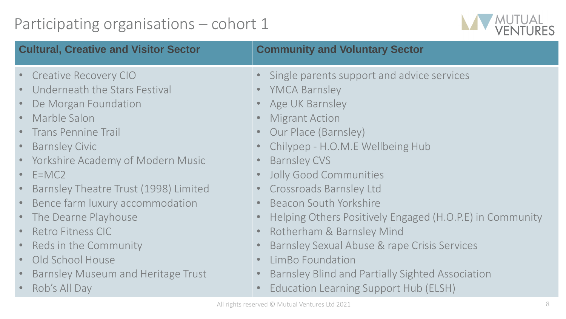## Participating organisations – cohort 1



| <b>Cultural, Creative and Visitor Sector</b>                                                                                                                                                                                                                                                                                                                                                                                             | <b>Community and Voluntary Sector</b>                                                                                                                                                                                                                                                                                                                                                                                                                                                                                  |  |  |  |  |
|------------------------------------------------------------------------------------------------------------------------------------------------------------------------------------------------------------------------------------------------------------------------------------------------------------------------------------------------------------------------------------------------------------------------------------------|------------------------------------------------------------------------------------------------------------------------------------------------------------------------------------------------------------------------------------------------------------------------------------------------------------------------------------------------------------------------------------------------------------------------------------------------------------------------------------------------------------------------|--|--|--|--|
| <b>Creative Recovery CIO</b><br>Underneath the Stars Festival<br>De Morgan Foundation<br>• Marble Salon<br>• Trans Pennine Trail<br><b>Barnsley Civic</b><br>• Yorkshire Academy of Modern Music<br>$\cdot$ E=MC2<br>Barnsley Theatre Trust (1998) Limited<br>Bence farm luxury accommodation<br>• The Dearne Playhouse<br><b>Retro Fitness CIC</b><br>• Reds in the Community<br>Old School House<br>Barnsley Museum and Heritage Trust | Single parents support and advice services<br><b>YMCA Barnsley</b><br>Age UK Barnsley<br><b>Migrant Action</b><br>Our Place (Barnsley)<br>Chilypep - H.O.M.E Wellbeing Hub<br><b>Barnsley CVS</b><br><b>Jolly Good Communities</b><br><b>Crossroads Barnsley Ltd</b><br><b>Beacon South Yorkshire</b><br>Helping Others Positively Engaged (H.O.P.E) in Community<br>Rotherham & Barnsley Mind<br>Barnsley Sexual Abuse & rape Crisis Services<br>LimBo Foundation<br>Barnsley Blind and Partially Sighted Association |  |  |  |  |
| Rob's All Day<br>Education Learning Support Hub (ELSH)<br>$\lambda$ ll at -late are reasonal $\bigcirc$ $\lambda$ $\lambda$ at $\lambda$ is a $\lambda$ is a transported to $\lambda$ $\lambda$ $\lambda$                                                                                                                                                                                                                                |                                                                                                                                                                                                                                                                                                                                                                                                                                                                                                                        |  |  |  |  |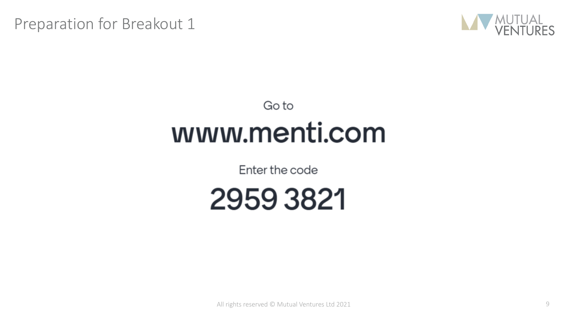Preparation for Breakout 1



# Go to www.menti.com

Enter the code



All rights reserved © Mutual Ventures Ltd 2021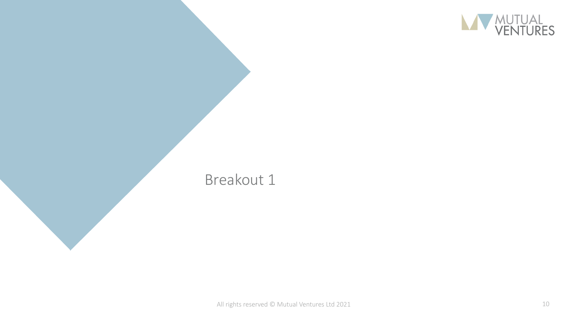

#### Breakout 1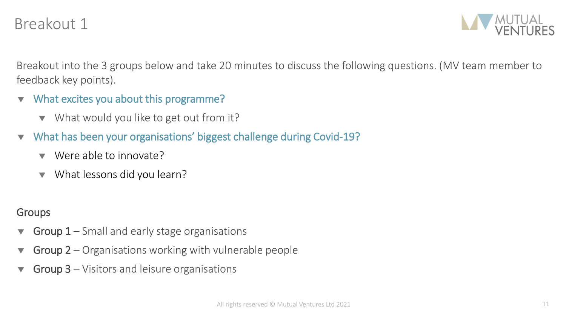#### Breakout 1



Breakout into the 3 groups below and take 20 minutes to discuss the following questions. (MV team member to feedback key points).

- $\blacktriangledown$  What excites you about this programme?
	- ▼ What would you like to get out from it?
- What has been your organisations' biggest challenge during Covid-19?
	- ▼ Were able to innovate?
	- What lessons did you learn?

#### **Groups**

- Group 1 Small and early stage organisations
- Group 2 Organisations working with vulnerable people
- Group 3 Visitors and leisure organisations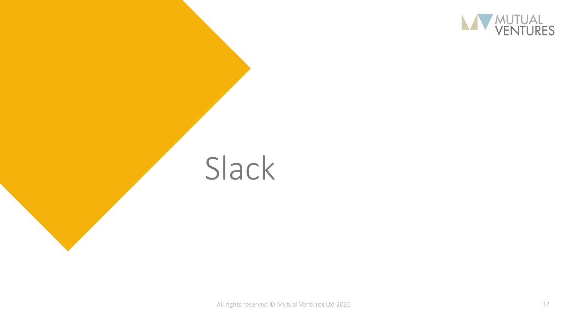

# Slack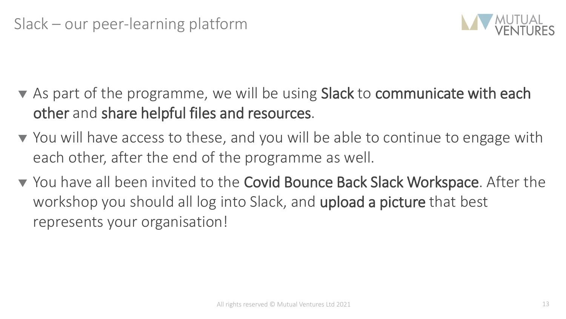

- As part of the programme, we will be using Slack to communicate with each other and share helpful files and resources.
- ▼ You will have access to these, and you will be able to continue to engage with each other, after the end of the programme as well.
- ▼ You have all been invited to the Covid Bounce Back Slack Workspace. After the workshop you should all log into Slack, and upload a picture that best represents your organisation!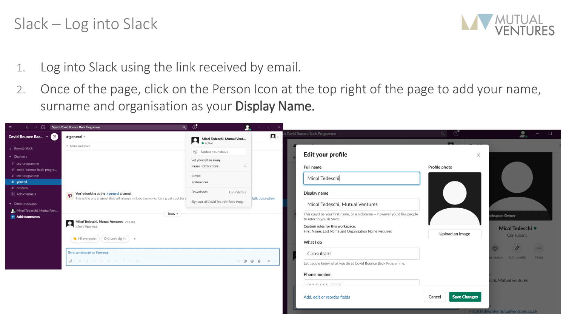#### Slack – Log into Slack



- 1. Log into Slack using the link received by email.
- 2. Once of the page, click on the Person Icon at the top right of the page to add your name, surname and organisation as your Display Name.

| $\leftarrow \rightarrow$                                                                                                                                                                                                        | Q<br>(D) Search Covid Bounce Back Programme                                                                                                                             | - ⊙<br>2.                                                                                                                                                      | $\Box$                  |                                                                                                                                                                                                                              |                           |                                                                                                  |
|---------------------------------------------------------------------------------------------------------------------------------------------------------------------------------------------------------------------------------|-------------------------------------------------------------------------------------------------------------------------------------------------------------------------|----------------------------------------------------------------------------------------------------------------------------------------------------------------|-------------------------|------------------------------------------------------------------------------------------------------------------------------------------------------------------------------------------------------------------------------|---------------------------|--------------------------------------------------------------------------------------------------|
| Covid Bounce Bac $\cdot$ $\bullet$                                                                                                                                                                                              | # general $\sim$                                                                                                                                                        | Micol Tedeschi, Mutual Vent                                                                                                                                    | $\mathbf{p}$            | Covid Bounce Back Programme                                                                                                                                                                                                  |                           | $  \Box$<br>2.                                                                                   |
| : Browse Slack                                                                                                                                                                                                                  | + Add a bookmark                                                                                                                                                        |                                                                                                                                                                |                         |                                                                                                                                                                                                                              |                           |                                                                                                  |
| $\bullet$ Channels<br># ccv-programme<br># covid-bounce-back-progra<br># cvs-programme<br># general<br>$#$ random<br>+ Add channels<br>$\blacktriangleright$ Direct messages<br>Micol Tedeschi, Mutual Ven<br>$+$ Add teammates | You're looking at the #general channel<br>This is the one channel that will always include everyone. It's a great spot for a                                            | Update your status<br>Set yourself as away<br>Pause notifications<br>Profile<br>Preferences<br>Downloads<br>Ctrl+Shift+J<br>Sign out of Covid Bounce Back Prog | <b>Edit description</b> | Edit your profile<br>Full name<br>Micol Tedeschi<br>Display name<br>Micol Tedeschi, Mutual Ventures                                                                                                                          | $\times$<br>Profile photo |                                                                                                  |
|                                                                                                                                                                                                                                 | Today $\sim$<br>Micol Tedeschi, Mutual Ventures 9:43 AM<br>joined #general.<br>$\bullet$ Hi everyone! $\circ$ OK! Let's dig in. $\circ$ x<br>Send a message to #general |                                                                                                                                                                |                         | This could be your first name, or a nickname - however you'd like people<br>to refer to you in Slack.<br>Custom rules for this workspace:<br>First Name, Last Name and Organisation Name Required<br>What I do<br>Consultant | Upload an Image           | <b>kspace Owner</b><br>Micol Tedeschi ·<br>Consultant<br>$\odot$<br>P<br>$\bullet\bullet\bullet$ |
|                                                                                                                                                                                                                                 | $\beta$ B I $\theta \neq \emptyset$ is is is $\psi$                                                                                                                     |                                                                                                                                                                | Aa @ @ 0 > v            | Let people know what you do at Covid Bounce Back Programme.<br>Phone number<br>$(122)$ $EEE$ $EEE$                                                                                                                           |                           | status Edit profile<br>More<br>schi, Mutual Ventures                                             |

Add, edit or reorder fields

Cancel

**Save Changes**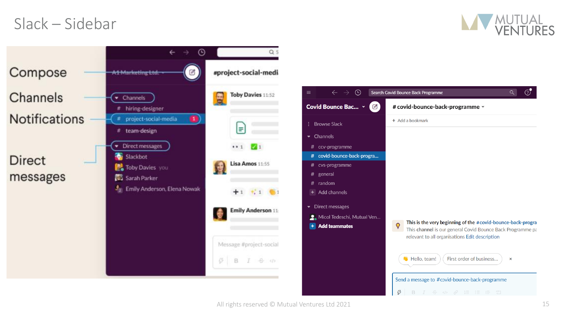#### Slack – Sidebar



 $\odot$ 

 $Q$ 

 $\boldsymbol{\mathsf{x}}$ 



All rights reserved © Mutual Ventures Ltd 2021 15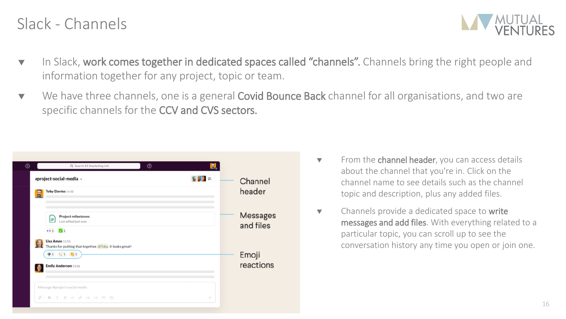#### Slack - Channels



- $\blacktriangledown$  In Slack, work comes together in dedicated spaces called "channels". Channels bring the right people and information together for any project, topic or team.
- ▼ We have three channels, one is a general **Covid Bounce Back** channel for all organisations, and two are specific channels for the CCV and CVS sectors.

| $^\circledR$ | Q Search A1 Marketing Ltd.                                                                                             | $^{\circ}$ | 6     |                       |
|--------------|------------------------------------------------------------------------------------------------------------------------|------------|-------|-----------------------|
|              | #project-social-media v<br>Toby Davies 11:52<br>E                                                                      |            | 63321 | Channel<br>header     |
|              | Project milestones<br>l=l<br>Last edited just now<br>1 1 1                                                             |            |       | Messages<br>and files |
|              | Lisa Amos 11:55<br>Thanks for putting that together, @Toby. It looks great!<br>$+1$ $+1$ $-61$<br>Emily Anderson 11:56 |            |       | Emoji<br>reactions    |
|              | Message #project-social-media<br>G<br>$I \oplus \emptyset \neq \emptyset$ $I \equiv I \equiv I \equiv \emptyset$<br>B  |            | ь     |                       |

- $\blacktriangledown$  From the channel header, you can access details about the channel that you're in. Click on the channel name to see details such as the channel topic and description, plus any added files.
- $\bullet$  Channels provide a dedicated space to write messages and add files. With everything related to a particular topic, you can scroll up to see the conversation history any time you open or join one.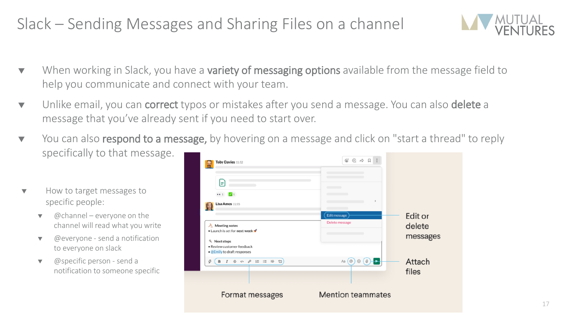## Slack – Sending Messages and Sharing Files on a channel



- **v** When working in Slack, you have a **variety of messaging options** available from the message field to help you communicate and connect with your team.
- **v** Unlike email, you can **correct** typos or mistakes after you send a message. You can also **delete** a message that you've already sent if you need to start over.
- ▼ You can also respond to a message, by hovering on a message and click on "start a thread" to reply specifically to that message.
- How to target messages to specific people:
	- $\omega$ channel everyone on the channel will read what you write
	- $\bullet$  @everyone send a notification to everyone on slack
	- $\bullet$  @specific person send a notification to someone specific

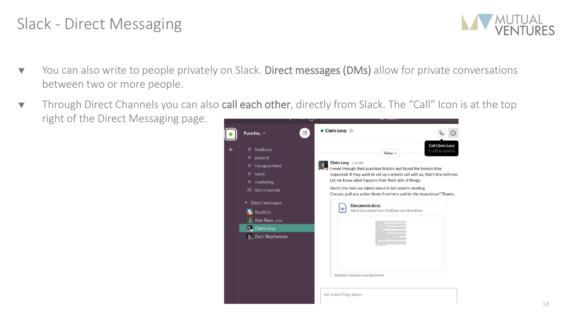#### Slack - Direct Messaging



- ▼ You can also write to people privately on Slack. Direct messages (DMs) allow for private conversations between two or more people.
- Through Direct Channels you can also call each other, directly from Slack. The "Call" Icon is at the top right of the Direct Messaging page.

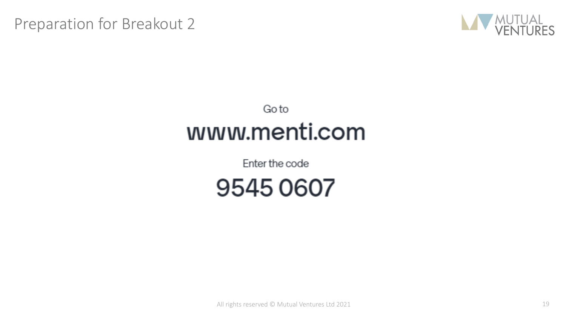Preparation for Breakout 2



## Goto www.menti.com

Enter the code

95450607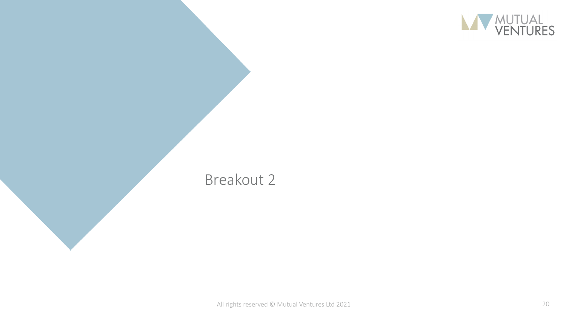

#### Breakout 2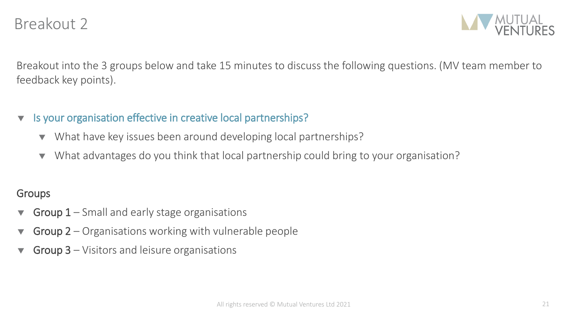

Breakout into the 3 groups below and take 15 minutes to discuss the following questions. (MV team member to feedback key points).

- v Is your organisation effective in creative local partnerships?
	- What have key issues been around developing local partnerships?
	- What advantages do you think that local partnership could bring to your organisation?

#### **Groups**

- **Group 1** Small and early stage organisations
- Group  $2$  Organisations working with vulnerable people
- Group 3 Visitors and leisure organisations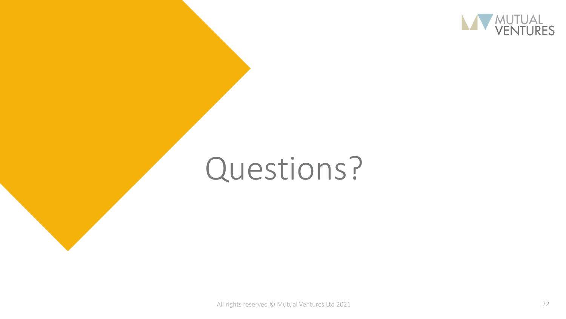

# Questions?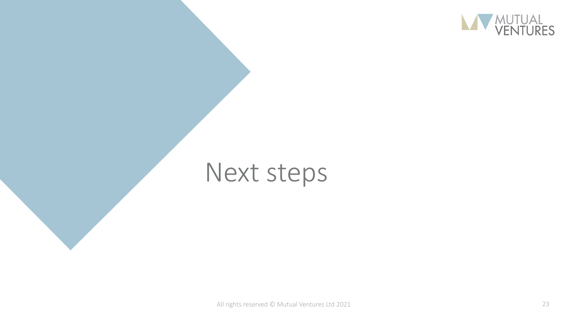

# Next steps